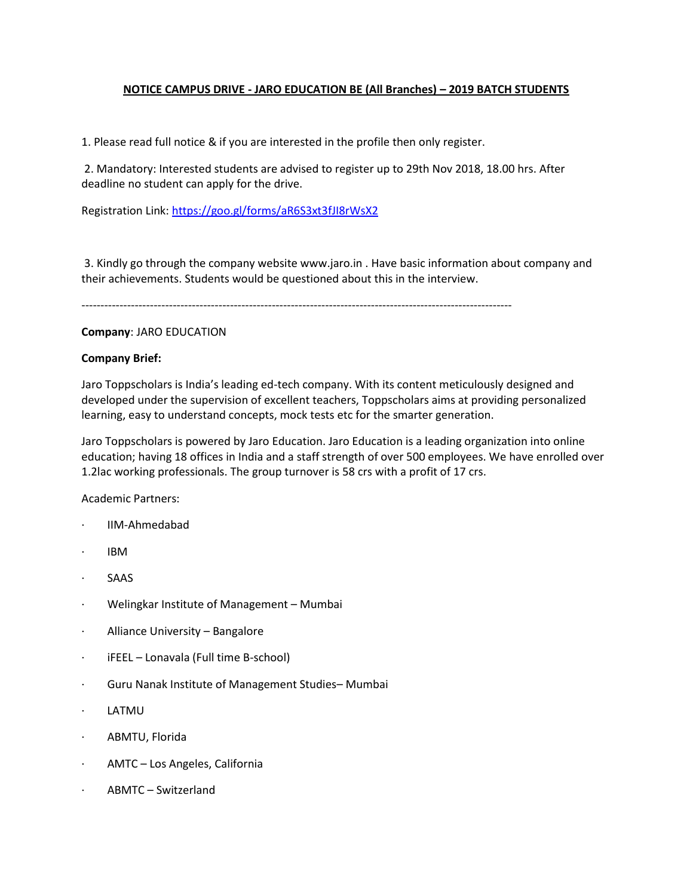# **NOTICE CAMPUS DRIVE - JARO EDUCATION BE (All Branches) – 2019 BATCH STUDENTS**

1. Please read full notice & if you are interested in the profile then only register.

2. Mandatory: Interested students are advised to register up to 29th Nov 2018, 18.00 hrs. After deadline no student can apply for the drive.

Registration Link: <https://goo.gl/forms/aR6S3xt3fJI8rWsX2>

3. Kindly go through the company website www.jaro.in . Have basic information about company and their achievements. Students would be questioned about this in the interview.

-----------------------------------------------------------------------------------------------------------------

## **Company**: JARO EDUCATION

## **Company Brief:**

Jaro Toppscholars is India's leading ed-tech company. With its content meticulously designed and developed under the supervision of excellent teachers, Toppscholars aims at providing personalized learning, easy to understand concepts, mock tests etc for the smarter generation.

Jaro Toppscholars is powered by Jaro Education. Jaro Education is a leading organization into online education; having 18 offices in India and a staff strength of over 500 employees. We have enrolled over 1.2lac working professionals. The group turnover is 58 crs with a profit of 17 crs.

Academic Partners:

- · IIM-Ahmedabad
- · IBM
- · SAAS
- · Welingkar Institute of Management Mumbai
- Alliance University Bangalore
- · iFEEL Lonavala (Full time B-school)
- Guru Nanak Institute of Management Studies-Mumbai
- · LATMU
- · ABMTU, Florida
- · AMTC Los Angeles, California
- · ABMTC Switzerland